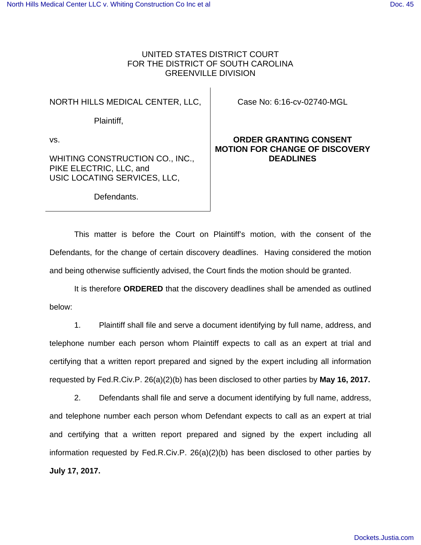## UNITED STATES DISTRICT COURT FOR THE DISTRICT OF SOUTH CAROLINA GREENVILLE DIVISION

NORTH HILLS MEDICAL CENTER, LLC,

Case No: 6:16-cv-02740-MGL

Plaintiff,

vs.

WHITING CONSTRUCTION CO., INC., PIKE ELECTRIC, LLC, and USIC LOCATING SERVICES, LLC,

## **ORDER GRANTING CONSENT MOTION FOR CHANGE OF DISCOVERY DEADLINES**

Defendants.

This matter is before the Court on Plaintiff's motion, with the consent of the Defendants, for the change of certain discovery deadlines. Having considered the motion and being otherwise sufficiently advised, the Court finds the motion should be granted.

It is therefore **ORDERED** that the discovery deadlines shall be amended as outlined below:

1. Plaintiff shall file and serve a document identifying by full name, address, and telephone number each person whom Plaintiff expects to call as an expert at trial and certifying that a written report prepared and signed by the expert including all information requested by Fed.R.Civ.P. 26(a)(2)(b) has been disclosed to other parties by **May 16, 2017.** 

2. Defendants shall file and serve a document identifying by full name, address, and telephone number each person whom Defendant expects to call as an expert at trial and certifying that a written report prepared and signed by the expert including all information requested by Fed.R.Civ.P. 26(a)(2)(b) has been disclosed to other parties by **July 17, 2017.**